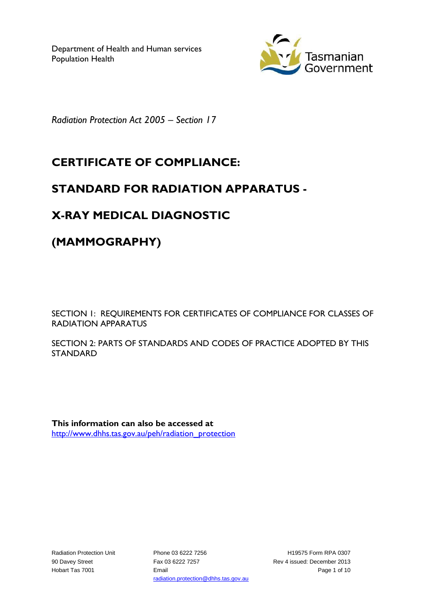Department of Health and Human services Population Health



*Radiation Protection Act 2005 – Section 17*

## **CERTIFICATE OF COMPLIANCE:**

## **STANDARD FOR RADIATION APPARATUS -**

# **X-RAY MEDICAL DIAGNOSTIC**

**(MAMMOGRAPHY)**

SECTION 1: REQUIREMENTS FOR CERTIFICATES OF COMPLIANCE FOR CLASSES OF RADIATION APPARATUS

SECTION 2: PARTS OF STANDARDS AND CODES OF PRACTICE ADOPTED BY THIS STANDARD

**This information can also be accessed at** [http://www.dhhs.tas.gov.au/peh/radiation\\_protection](http://www.dhhs.tas.gov.au/peh/radiation_protection)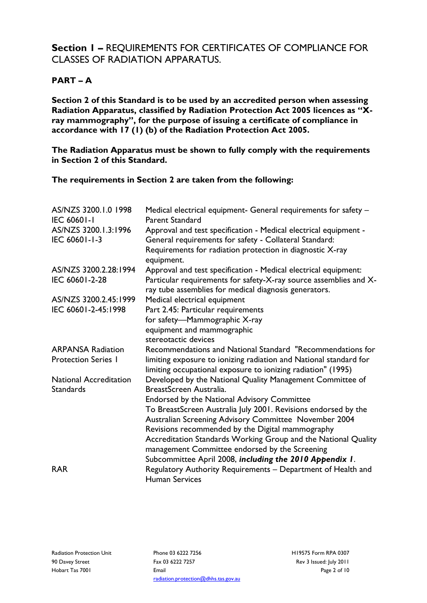### **Section 1 –** REQUIREMENTS FOR CERTIFICATES OF COMPLIANCE FOR CLASSES OF RADIATION APPARATUS.

#### **PART – A**

**Section 2 of this Standard is to be used by an accredited person when assessing Radiation Apparatus, classified by Radiation Protection Act 2005 licences as "Xray mammography", for the purpose of issuing a certificate of compliance in accordance with 17 (1) (b) of the Radiation Protection Act 2005.**

**The Radiation Apparatus must be shown to fully comply with the requirements in Section 2 of this Standard.**

**The requirements in Section 2 are taken from the following:**

| AS/NZS 3200.1.0 1998<br><b>IEC 60601-1</b> | Medical electrical equipment- General requirements for safety -<br><b>Parent Standard</b>                                  |
|--------------------------------------------|----------------------------------------------------------------------------------------------------------------------------|
| AS/NZS 3200.1.3:1996<br>IEC 60601-1-3      | Approval and test specification - Medical electrical equipment -<br>General requirements for safety - Collateral Standard: |
|                                            | Requirements for radiation protection in diagnostic X-ray<br>equipment.                                                    |
| AS/NZS 3200.2.28:1994                      | Approval and test specification - Medical electrical equipment:                                                            |
| IEC 60601-2-28                             | Particular requirements for safety-X-ray source assemblies and X-<br>ray tube assemblies for medical diagnosis generators. |
| AS/NZS 3200.2.45:1999                      | Medical electrical equipment                                                                                               |
| IEC 60601-2-45:1998                        | Part 2.45: Particular requirements                                                                                         |
|                                            | for safety-Mammographic X-ray                                                                                              |
|                                            | equipment and mammographic                                                                                                 |
|                                            | stereotactic devices                                                                                                       |
| <b>ARPANSA Radiation</b>                   | Recommendations and National Standard "Recommendations for                                                                 |
| <b>Protection Series I</b>                 | limiting exposure to ionizing radiation and National standard for                                                          |
|                                            | limiting occupational exposure to ionizing radiation" (1995)                                                               |
| <b>National Accreditation</b>              | Developed by the National Quality Management Committee of                                                                  |
| <b>Standards</b>                           | BreastScreen Australia.                                                                                                    |
|                                            | Endorsed by the National Advisory Committee                                                                                |
|                                            | To BreastScreen Australia July 2001. Revisions endorsed by the                                                             |
|                                            | Australian Screening Advisory Committee November 2004                                                                      |
|                                            | Revisions recommended by the Digital mammography                                                                           |
|                                            | Accreditation Standards Working Group and the National Quality                                                             |
|                                            | management Committee endorsed by the Screening                                                                             |
|                                            | Subcommittee April 2008, including the 2010 Appendix 1.                                                                    |
| <b>RAR</b>                                 | Regulatory Authority Requirements - Department of Health and                                                               |
|                                            | <b>Human Services</b>                                                                                                      |

Phone 03 6222 7256 Fax 03 6222 7257 Email radiation.protection@dhhs.tas.gov.au H19575 Form RPA 0307 Rev 3 Issued: July 2011 Page 2 of 10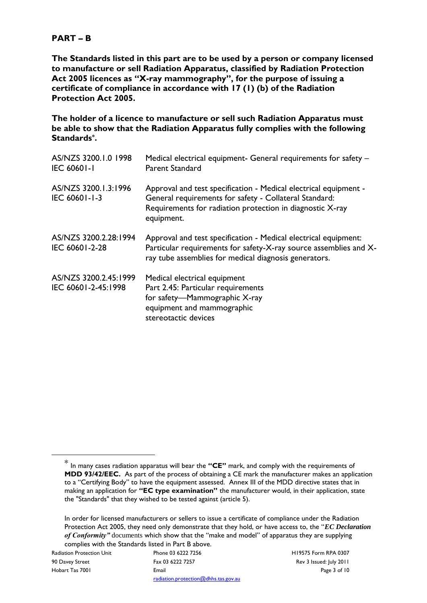#### **PART – B**

**The Standards listed in this part are to be used by a person or company licensed to manufacture or sell Radiation Apparatus, classified by Radiation Protection Act 2005 licences as "X-ray mammography", for the purpose of issuing a certificate of compliance in accordance with 17 (1) (b) of the Radiation Protection Act 2005.**

**The holder of a licence to manufacture or sell such Radiation Apparatus must be able to show that the Radiation Apparatus fully complies with the following Standards\* .**

| AS/NZS 3200.1.0 1998<br><b>IEC 60601-1</b>   | Medical electrical equipment- General requirements for safety -<br><b>Parent Standard</b>                                                                                                             |
|----------------------------------------------|-------------------------------------------------------------------------------------------------------------------------------------------------------------------------------------------------------|
| AS/NZS 3200.1.3:1996<br>IEC 60601-1-3        | Approval and test specification - Medical electrical equipment -<br>General requirements for safety - Collateral Standard:<br>Requirements for radiation protection in diagnostic X-ray<br>equipment. |
| AS/NZS 3200.2.28:1994<br>IEC 60601-2-28      | Approval and test specification - Medical electrical equipment:<br>Particular requirements for safety-X-ray source assemblies and X-<br>ray tube assemblies for medical diagnosis generators.         |
| AS/NZS 3200.2.45:1999<br>IEC 60601-2-45:1998 | Medical electrical equipment<br>Part 2.45: Particular requirements<br>for safety—Mammographic X-ray<br>equipment and mammographic<br>stereotactic devices                                             |

1

<sup>\*</sup> In many cases radiation apparatus will bear the **"CE"** mark, and comply with the requirements of **MDD 93/42/EEC.** As part of the process of obtaining a CE mark the manufacturer makes an application to a "Certifying Body" to have the equipment assessed. Annex III of the MDD directive states that in making an application for **"EC type examination"** the manufacturer would, in their application, state the "Standards" that they wished to be tested against (article 5).

In order for licensed manufacturers or sellers to issue a certificate of compliance under the Radiation Protection Act 2005, they need only demonstrate that they hold, or have access to, the "*EC Declaration of Conformity"* documents which show that the "make and model" of apparatus they are supplying complies with the Standards listed in Part B above.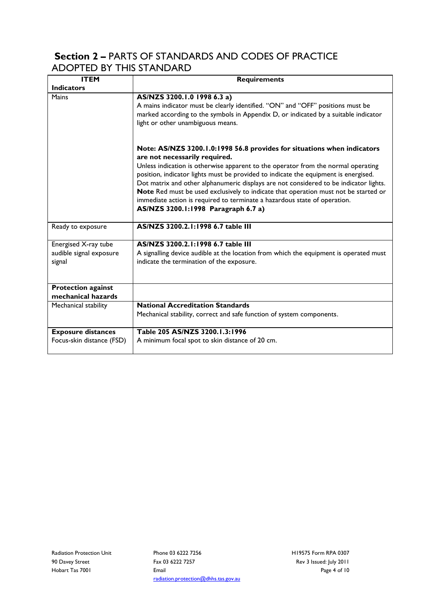### **Section 2 –** PARTS OF STANDARDS AND CODES OF PRACTICE ADOPTED BY THIS STANDARD

| <b>ITEM</b>                                               | <b>Requirements</b>                                                                                                                                                                                                                                                                                                                                                                                                                                                                                                                                                                      |
|-----------------------------------------------------------|------------------------------------------------------------------------------------------------------------------------------------------------------------------------------------------------------------------------------------------------------------------------------------------------------------------------------------------------------------------------------------------------------------------------------------------------------------------------------------------------------------------------------------------------------------------------------------------|
| <b>Indicators</b>                                         |                                                                                                                                                                                                                                                                                                                                                                                                                                                                                                                                                                                          |
| <b>Mains</b>                                              | AS/NZS 3200.1.0 1998 6.3 a)<br>A mains indicator must be clearly identified. "ON" and "OFF" positions must be<br>marked according to the symbols in Appendix D, or indicated by a suitable indicator<br>light or other unambiguous means.                                                                                                                                                                                                                                                                                                                                                |
|                                                           | Note: AS/NZS 3200.1.0:1998 56.8 provides for situations when indicators<br>are not necessarily required.<br>Unless indication is otherwise apparent to the operator from the normal operating<br>position, indicator lights must be provided to indicate the equipment is energised.<br>Dot matrix and other alphanumeric displays are not considered to be indicator lights.<br>Note Red must be used exclusively to indicate that operation must not be started or<br>immediate action is required to terminate a hazardous state of operation.<br>AS/NZS 3200.1:1998 Paragraph 6.7 a) |
| Ready to exposure                                         | AS/NZS 3200.2.1:1998 6.7 table III                                                                                                                                                                                                                                                                                                                                                                                                                                                                                                                                                       |
| Energised X-ray tube<br>audible signal exposure<br>signal | AS/NZS 3200.2.1:1998 6.7 table III<br>A signalling device audible at the location from which the equipment is operated must<br>indicate the termination of the exposure.                                                                                                                                                                                                                                                                                                                                                                                                                 |
| <b>Protection against</b><br>mechanical hazards           |                                                                                                                                                                                                                                                                                                                                                                                                                                                                                                                                                                                          |
| Mechanical stability                                      | <b>National Accreditation Standards</b><br>Mechanical stability, correct and safe function of system components.                                                                                                                                                                                                                                                                                                                                                                                                                                                                         |
| <b>Exposure distances</b><br>Focus-skin distance (FSD)    | Table 205 AS/NZS 3200.1.3:1996<br>A minimum focal spot to skin distance of 20 cm.                                                                                                                                                                                                                                                                                                                                                                                                                                                                                                        |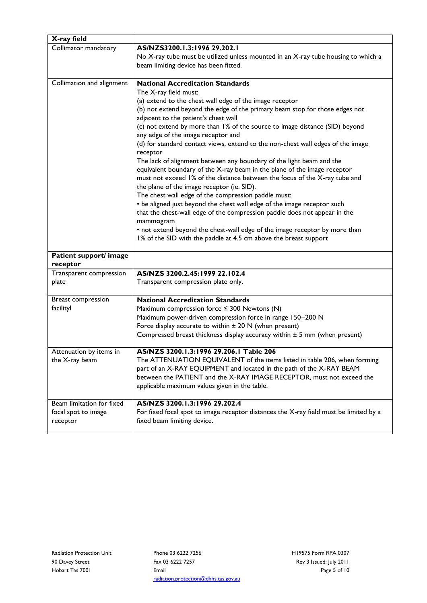| X-ray field               |                                                                                             |
|---------------------------|---------------------------------------------------------------------------------------------|
| Collimator mandatory      | AS/NZS3200.1.3:1996 29.202.1                                                                |
|                           | No X-ray tube must be utilized unless mounted in an X-ray tube housing to which a           |
|                           | beam limiting device has been fitted.                                                       |
| Collimation and alignment | <b>National Accreditation Standards</b>                                                     |
|                           | The X-ray field must:                                                                       |
|                           | (a) extend to the chest wall edge of the image receptor                                     |
|                           | (b) not extend beyond the edge of the primary beam stop for those edges not                 |
|                           | adjacent to the patient's chest wall                                                        |
|                           | (c) not extend by more than 1% of the source to image distance (SID) beyond                 |
|                           | any edge of the image receptor and                                                          |
|                           | (d) for standard contact views, extend to the non-chest wall edges of the image<br>receptor |
|                           | The lack of alignment between any boundary of the light beam and the                        |
|                           | equivalent boundary of the X-ray beam in the plane of the image receptor                    |
|                           | must not exceed 1% of the distance between the focus of the X-ray tube and                  |
|                           | the plane of the image receptor (ie. SID).                                                  |
|                           | The chest wall edge of the compression paddle must:                                         |
|                           | • be aligned just beyond the chest wall edge of the image receptor such                     |
|                           | that the chest-wall edge of the compression paddle does not appear in the                   |
|                           | mammogram                                                                                   |
|                           | • not extend beyond the chest-wall edge of the image receptor by more than                  |
|                           | 1% of the SID with the paddle at 4.5 cm above the breast support                            |
| Patient support/ image    |                                                                                             |
| receptor                  |                                                                                             |
| Transparent compression   | AS/NZS 3200.2.45:1999 22.102.4                                                              |
| plate                     | Transparent compression plate only.                                                         |
| <b>Breast compression</b> | <b>National Accreditation Standards</b>                                                     |
| facilityl                 | Maximum compression force $\leq$ 300 Newtons (N)                                            |
|                           | Maximum power-driven compression force in range 150-200 N                                   |
|                           | Force display accurate to within $\pm$ 20 N (when present)                                  |
|                           | Compressed breast thickness display accuracy within ± 5 mm (when present)                   |
| Attenuation by items in   | AS/NZS 3200.1.3:1996 29.206.1 Table 206                                                     |
| the X-ray beam            | The ATTENUATION EQUIVALENT of the items listed in table 206, when forming                   |
|                           | part of an X-RAY EQUIPMENT and located in the path of the X-RAY BEAM                        |
|                           | between the PATIENT and the X-RAY IMAGE RECEPTOR, must not exceed the                       |
|                           | applicable maximum values given in the table.                                               |
| Beam limitation for fixed | AS/NZS 3200.1.3:1996 29.202.4                                                               |
| focal spot to image       | For fixed focal spot to image receptor distances the X-ray field must be limited by a       |
| receptor                  | fixed beam limiting device.                                                                 |
|                           |                                                                                             |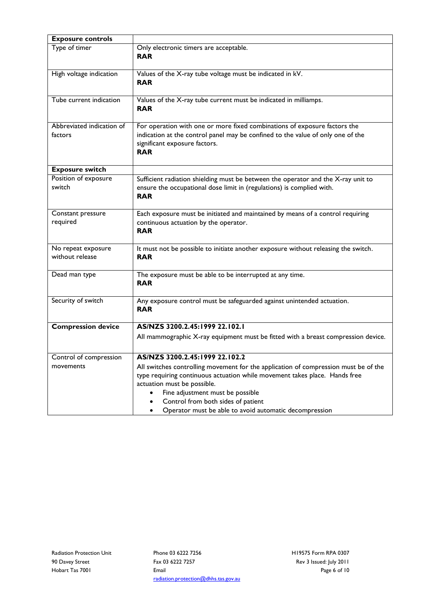| Only electronic timers are acceptable.                                                                                                                                                                                                                                                                                               |
|--------------------------------------------------------------------------------------------------------------------------------------------------------------------------------------------------------------------------------------------------------------------------------------------------------------------------------------|
| <b>RAR</b>                                                                                                                                                                                                                                                                                                                           |
| Values of the X-ray tube voltage must be indicated in kV.<br><b>RAR</b>                                                                                                                                                                                                                                                              |
| Values of the X-ray tube current must be indicated in milliamps.<br><b>RAR</b>                                                                                                                                                                                                                                                       |
| For operation with one or more fixed combinations of exposure factors the                                                                                                                                                                                                                                                            |
| indication at the control panel may be confined to the value of only one of the<br>significant exposure factors.<br><b>RAR</b>                                                                                                                                                                                                       |
|                                                                                                                                                                                                                                                                                                                                      |
| Sufficient radiation shielding must be between the operator and the X-ray unit to<br>ensure the occupational dose limit in (regulations) is complied with.<br><b>RAR</b>                                                                                                                                                             |
| Each exposure must be initiated and maintained by means of a control requiring                                                                                                                                                                                                                                                       |
| continuous actuation by the operator.<br><b>RAR</b>                                                                                                                                                                                                                                                                                  |
| It must not be possible to initiate another exposure without releasing the switch.<br><b>RAR</b>                                                                                                                                                                                                                                     |
| The exposure must be able to be interrupted at any time.<br><b>RAR</b>                                                                                                                                                                                                                                                               |
| Any exposure control must be safeguarded against unintended actuation.<br><b>RAR</b>                                                                                                                                                                                                                                                 |
| AS/NZS 3200.2.45:1999 22.102.1                                                                                                                                                                                                                                                                                                       |
| All mammographic X-ray equipment must be fitted with a breast compression device.                                                                                                                                                                                                                                                    |
| AS/NZS 3200.2.45:1999 22.102.2                                                                                                                                                                                                                                                                                                       |
| All switches controlling movement for the application of compression must be of the<br>type requiring continuous actuation while movement takes place. Hands free<br>actuation must be possible.<br>Fine adjustment must be possible<br>Control from both sides of patient<br>Operator must be able to avoid automatic decompression |
|                                                                                                                                                                                                                                                                                                                                      |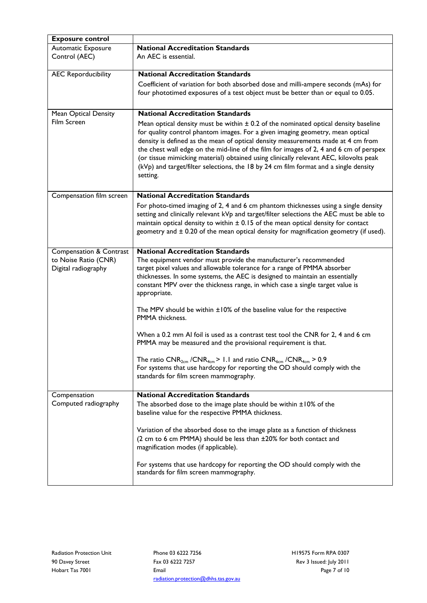| <b>Exposure control</b>            |                                                                                                                                                               |
|------------------------------------|---------------------------------------------------------------------------------------------------------------------------------------------------------------|
| Automatic Exposure                 | <b>National Accreditation Standards</b>                                                                                                                       |
| Control (AEC)                      | An AEC is essential.                                                                                                                                          |
|                                    |                                                                                                                                                               |
| <b>AEC Reporducibility</b>         | <b>National Accreditation Standards</b>                                                                                                                       |
|                                    | Coefficient of variation for both absorbed dose and milli-ampere seconds (mAs) for                                                                            |
|                                    | four phototimed exposures of a test object must be better than or equal to 0.05.                                                                              |
|                                    |                                                                                                                                                               |
| Mean Optical Density               | <b>National Accreditation Standards</b>                                                                                                                       |
| Film Screen                        | Mean optical density must be within $\pm$ 0.2 of the nominated optical density baseline                                                                       |
|                                    | for quality control phantom images. For a given imaging geometry, mean optical                                                                                |
|                                    | density is defined as the mean of optical density measurements made at 4 cm from                                                                              |
|                                    | the chest wall edge on the mid-line of the film for images of 2, 4 and 6 cm of perspex                                                                        |
|                                    | (or tissue mimicking material) obtained using clinically relevant AEC, kilovolts peak                                                                         |
|                                    | (kVp) and target/filter selections, the 18 by 24 cm film format and a single density                                                                          |
|                                    | setting.                                                                                                                                                      |
|                                    |                                                                                                                                                               |
| Compensation film screen           | <b>National Accreditation Standards</b>                                                                                                                       |
|                                    | For photo-timed imaging of 2, 4 and 6 cm phantom thicknesses using a single density                                                                           |
|                                    | setting and clinically relevant kVp and target/filter selections the AEC must be able to                                                                      |
|                                    | maintain optical density to within ± 0.15 of the mean optical density for contact                                                                             |
|                                    | geometry and ± 0.20 of the mean optical density for magnification geometry (if used).                                                                         |
|                                    |                                                                                                                                                               |
| <b>Compensation &amp; Contrast</b> | <b>National Accreditation Standards</b>                                                                                                                       |
| to Noise Ratio (CNR)               | The equipment vendor must provide the manufacturer's recommended                                                                                              |
| Digital radiography                | target pixel values and allowable tolerance for a range of PMMA absorber                                                                                      |
|                                    | thicknesses. In some systems, the AEC is designed to maintain an essentially<br>constant MPV over the thickness range, in which case a single target value is |
|                                    | appropriate.                                                                                                                                                  |
|                                    |                                                                                                                                                               |
|                                    | The MPV should be within ±10% of the baseline value for the respective                                                                                        |
|                                    | PMMA thickness.                                                                                                                                               |
|                                    |                                                                                                                                                               |
|                                    | When a 0.2 mm AI foil is used as a contrast test tool the CNR for 2, 4 and 6 cm                                                                               |
|                                    | PMMA may be measured and the provisional requirement is that.                                                                                                 |
|                                    | The ratio $CNR_{2cm}$ /CNR <sub>4cm</sub> > 1.1 and ratio $CNR_{6cm}$ /CNR <sub>4cm</sub> > 0.9                                                               |
|                                    | For systems that use hardcopy for reporting the OD should comply with the                                                                                     |
|                                    | standards for film screen mammography.                                                                                                                        |
|                                    |                                                                                                                                                               |
| Compensation                       | <b>National Accreditation Standards</b>                                                                                                                       |
| Computed radiography               | The absorbed dose to the image plate should be within $\pm 10\%$ of the                                                                                       |
|                                    | baseline value for the respective PMMA thickness.                                                                                                             |
|                                    |                                                                                                                                                               |
|                                    | Variation of the absorbed dose to the image plate as a function of thickness                                                                                  |
|                                    | (2 cm to 6 cm PMMA) should be less than ±20% for both contact and                                                                                             |
|                                    | magnification modes (if applicable).                                                                                                                          |
|                                    |                                                                                                                                                               |
|                                    | For systems that use hardcopy for reporting the OD should comply with the<br>standards for film screen mammography.                                           |
|                                    |                                                                                                                                                               |
|                                    |                                                                                                                                                               |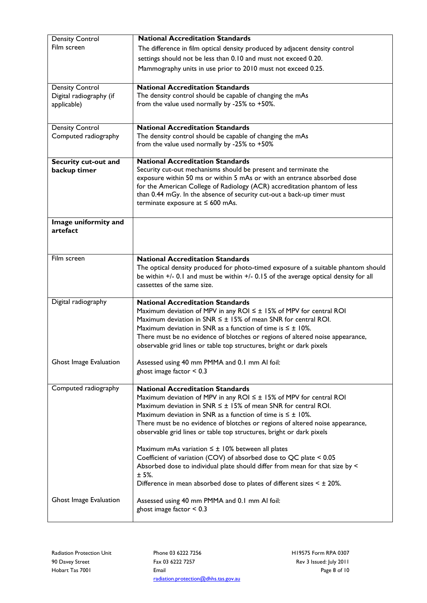| <b>Density Control</b>  | <b>National Accreditation Standards</b>                                                                                                              |
|-------------------------|------------------------------------------------------------------------------------------------------------------------------------------------------|
| Film screen             | The difference in film optical density produced by adjacent density control                                                                          |
|                         | settings should not be less than 0.10 and must not exceed 0.20.                                                                                      |
|                         | Mammography units in use prior to 2010 must not exceed 0.25.                                                                                         |
|                         |                                                                                                                                                      |
| <b>Density Control</b>  | <b>National Accreditation Standards</b>                                                                                                              |
| Digital radiography (if | The density control should be capable of changing the mAs<br>from the value used normally by -25% to +50%.                                           |
| applicable)             |                                                                                                                                                      |
|                         |                                                                                                                                                      |
| <b>Density Control</b>  | <b>National Accreditation Standards</b>                                                                                                              |
| Computed radiography    | The density control should be capable of changing the mAs<br>from the value used normally by -25% to +50%                                            |
|                         |                                                                                                                                                      |
| Security cut-out and    | <b>National Accreditation Standards</b>                                                                                                              |
| backup timer            | Security cut-out mechanisms should be present and terminate the                                                                                      |
|                         | exposure within 50 ms or within 5 mAs or with an entrance absorbed dose                                                                              |
|                         | for the American College of Radiology (ACR) accreditation phantom of less                                                                            |
|                         | than 0.44 mGy. In the absence of security cut-out a back-up timer must<br>terminate exposure at $\leq 600$ mAs.                                      |
|                         |                                                                                                                                                      |
| Image uniformity and    |                                                                                                                                                      |
| artefact                |                                                                                                                                                      |
|                         |                                                                                                                                                      |
|                         |                                                                                                                                                      |
| Film screen             | <b>National Accreditation Standards</b>                                                                                                              |
|                         | The optical density produced for photo-timed exposure of a suitable phantom should                                                                   |
|                         | be within +/- 0.1 and must be within +/- 0.15 of the average optical density for all<br>cassettes of the same size.                                  |
|                         |                                                                                                                                                      |
| Digital radiography     | <b>National Accreditation Standards</b>                                                                                                              |
|                         | Maximum deviation of MPV in any ROI $\leq \pm$ 15% of MPV for central ROI                                                                            |
|                         | Maximum deviation in SNR $\leq \pm$ 15% of mean SNR for central ROI.                                                                                 |
|                         | Maximum deviation in SNR as a function of time is $\leq \pm 10\%$ .<br>There must be no evidence of blotches or regions of altered noise appearance, |
|                         | observable grid lines or table top structures, bright or dark pixels                                                                                 |
|                         |                                                                                                                                                      |
| Ghost Image Evaluation  | Assessed using 40 mm PMMA and 0.1 mm AI foil:                                                                                                        |
|                         | ghost image factor $< 0.3$                                                                                                                           |
|                         |                                                                                                                                                      |
| Computed radiography    | <b>National Accreditation Standards</b><br>Maximum deviation of MPV in any ROI $\leq \pm$ 15% of MPV for central ROI                                 |
|                         | Maximum deviation in SNR $\leq \pm$ 15% of mean SNR for central ROI.                                                                                 |
|                         | Maximum deviation in SNR as a function of time is $\leq \pm 10\%$ .                                                                                  |
|                         | There must be no evidence of blotches or regions of altered noise appearance,                                                                        |
|                         | observable grid lines or table top structures, bright or dark pixels                                                                                 |
|                         |                                                                                                                                                      |
|                         | Maximum mAs variation $\leq \pm 10\%$ between all plates<br>Coefficient of variation (COV) of absorbed dose to QC plate < 0.05                       |
|                         | Absorbed dose to individual plate should differ from mean for that size by <                                                                         |
|                         | ± 5%.                                                                                                                                                |
|                         | Difference in mean absorbed dose to plates of different sizes $\leq \pm 20\%$ .                                                                      |
|                         |                                                                                                                                                      |
| Ghost Image Evaluation  | Assessed using 40 mm PMMA and 0.1 mm AI foil:                                                                                                        |
|                         | ghost image factor $< 0.3$                                                                                                                           |
|                         |                                                                                                                                                      |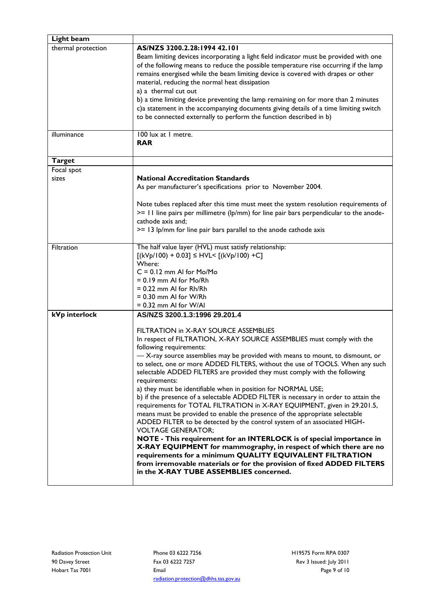| Light beam         |                                                                                                                   |
|--------------------|-------------------------------------------------------------------------------------------------------------------|
| thermal protection | AS/NZS 3200.2.28:1994 42.101                                                                                      |
|                    | Beam limiting devices incorporating a light field indicator must be provided with one                             |
|                    | of the following means to reduce the possible temperature rise occurring if the lamp                              |
|                    | remains energised while the beam limiting device is covered with drapes or other                                  |
|                    | material, reducing the normal heat dissipation                                                                    |
|                    | a) a thermal cut out                                                                                              |
|                    | b) a time limiting device preventing the lamp remaining on for more than 2 minutes                                |
|                    | c)a statement in the accompanying documents giving details of a time limiting switch                              |
|                    | to be connected externally to perform the function described in b)                                                |
|                    |                                                                                                                   |
| illuminance        | 100 lux at 1 metre.                                                                                               |
|                    | <b>RAR</b>                                                                                                        |
|                    |                                                                                                                   |
| <b>Target</b>      |                                                                                                                   |
| Focal spot         |                                                                                                                   |
| sizes              | <b>National Accreditation Standards</b>                                                                           |
|                    | As per manufacturer's specifications prior to November 2004.                                                      |
|                    |                                                                                                                   |
|                    | Note tubes replaced after this time must meet the system resolution requirements of                               |
|                    | >= 11 line pairs per millimetre (lp/mm) for line pair bars perpendicular to the anode-<br>cathode axis and;       |
|                    |                                                                                                                   |
|                    | >= 13 lp/mm for line pair bars parallel to the anode cathode axis                                                 |
| Filtration         | The half value layer (HVL) must satisfy relationship:                                                             |
|                    | $[(kVp/100) + 0.03] \le HVL < [(kVp/100) + C]$                                                                    |
|                    | Where:                                                                                                            |
|                    | $C = 0.12$ mm Al for Mo/Mo                                                                                        |
|                    | $= 0.19$ mm AI for Mo/Rh                                                                                          |
|                    | $= 0.22$ mm AI for Rh/Rh                                                                                          |
|                    | $= 0.30$ mm AI for W/Rh                                                                                           |
|                    | $= 0.32$ mm AI for W/AI                                                                                           |
| kVp interlock      | AS/NZS 3200.1.3:1996 29.201.4                                                                                     |
|                    | FILTRATION in X-RAY SOURCE ASSEMBLIES                                                                             |
|                    | In respect of FILTRATION, X-RAY SOURCE ASSEMBLIES must comply with the                                            |
|                    | following requirements:                                                                                           |
|                    | - X-ray source assemblies may be provided with means to mount, to dismount, or                                    |
|                    | to select, one or more ADDED FILTERS, without the use of TOOLS. When any such                                     |
|                    | selectable ADDED FILTERS are provided they must comply with the following                                         |
|                    | requirements:                                                                                                     |
|                    | a) they must be identifiable when in position for NORMAL USE;                                                     |
|                    | b) if the presence of a selectable ADDED FILTER is necessary in order to attain the                               |
|                    | requirements for TOTAL FILTRATION in X-RAY EQUIPMENT, given in 29.201.5,                                          |
|                    | means must be provided to enable the presence of the appropriate selectable                                       |
|                    | ADDED FILTER to be detected by the control system of an associated HIGH-                                          |
|                    | <b>VOLTAGE GENERATOR;</b>                                                                                         |
|                    | NOTE - This requirement for an INTERLOCK is of special importance in                                              |
|                    | X-RAY EQUIPMENT for mammography, in respect of which there are no                                                 |
|                    | requirements for a minimum QUALITY EQUIVALENT FILTRATION                                                          |
|                    | from irremovable materials or for the provision of fixed ADDED FILTERS<br>in the X-RAY TUBE ASSEMBLIES concerned. |
|                    |                                                                                                                   |
|                    |                                                                                                                   |